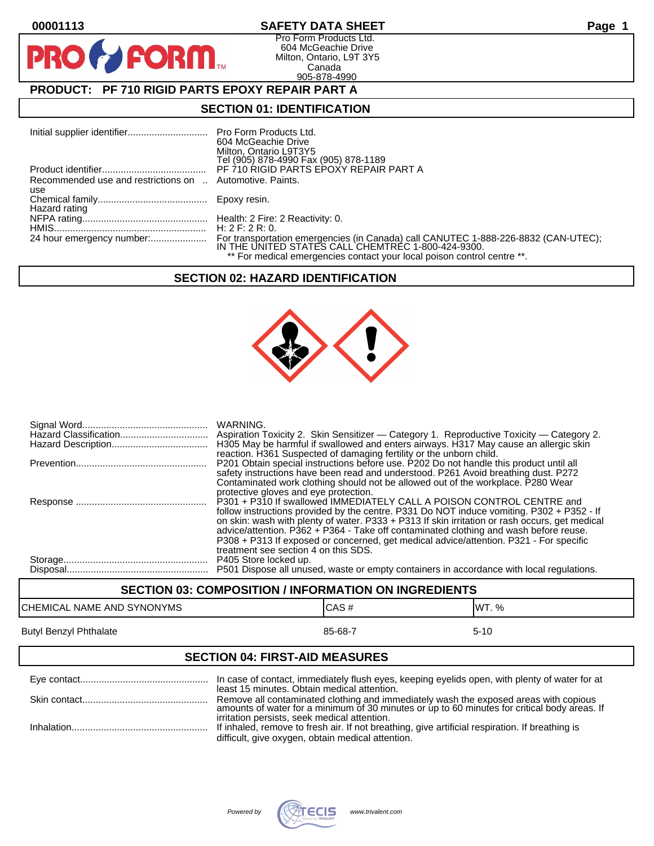PR

## **00001113 SAFETY DATA SHEET Page 1**

Pro Form Products Ltd. 604 McGeachie Drive Milton, Ontario, L9T 3Y5 Canada 905-878-4990

## **PRODUCT: PF 710 RIGID PARTS EPOXY REPAIR PART A**

**FORM** 

#### **SECTION 01: IDENTIFICATION**

|                                                          | 604 McGeachie Drive                                                     |
|----------------------------------------------------------|-------------------------------------------------------------------------|
|                                                          | Milton, Ontario L9T3Y5                                                  |
|                                                          | Tel (905) 878-4990 Fax (905) 878-1189                                   |
|                                                          | PF 710 RIGID PARTS EPOXY REPAIR PART A                                  |
| Recommended use and restrictions on  Automotive. Paints. |                                                                         |
| use                                                      |                                                                         |
|                                                          |                                                                         |
| Hazard rating                                            |                                                                         |
|                                                          |                                                                         |
|                                                          |                                                                         |
|                                                          |                                                                         |
|                                                          |                                                                         |
|                                                          | ** For medical emergencies contact your local poison control centre **. |

## **SECTION 02: HAZARD IDENTIFICATION**



| <b>WARNING.</b><br>Aspiration Toxicity 2. Skin Sensitizer — Category 1. Reproductive Toxicity — Category 2.<br>H305 May be harmful if swallowed and enters airways. H317 May cause an allergic skin<br>reaction. H361 Suspected of damaging fertility or the unborn child.                                                                                                                                                                                                                      |
|-------------------------------------------------------------------------------------------------------------------------------------------------------------------------------------------------------------------------------------------------------------------------------------------------------------------------------------------------------------------------------------------------------------------------------------------------------------------------------------------------|
| P201 Obtain special instructions before use. P202 Do not handle this product until all<br>safety instructions have been read and understood. P261 Avoid breathing dust. P272<br>Contaminated work clothing should not be allowed out of the workplace. P280 Wear<br>protective gloves and eye protection.                                                                                                                                                                                       |
| P301 + P310 If swallowed IMMEDIATELY CALL A POISON CONTROL CENTRE and<br>follow instructions provided by the centre. P331 Do NOT induce vomiting. P302 + P352 - If<br>on skin: wash with plenty of water. P333 + P313 If skin irritation or rash occurs, get medical<br>advice/attention. P362 + P364 - Take off contaminated clothing and wash before reuse.<br>P308 + P313 If exposed or concerned, get medical advice/attention. P321 - For specific<br>treatment see section 4 on this SDS. |
| P405 Store locked up.<br>P501 Dispose all unused, waste or empty containers in accordance with local regulations.                                                                                                                                                                                                                                                                                                                                                                               |

# **SECTION 03: COMPOSITION / INFORMATION ON INGREDIENTS** CHEMICAL NAME AND SYNONYMS CHEMICAL NAME AND SYNONYMS Butyl Benzyl Phthalate 85-68-7 5-10

#### **SECTION 04: FIRST-AID MEASURES**

| In case of contact, immediately flush eyes, keeping eyelids open, with plenty of water for at<br>least 15 minutes. Obtain medical attention.                                                                                         |
|--------------------------------------------------------------------------------------------------------------------------------------------------------------------------------------------------------------------------------------|
| Remove all contaminated clothing and immediately wash the exposed areas with copious<br>amounts of water for a minimum of 30 minutes or up to 60 minutes for critical body areas. If<br>irritation persists, seek medical attention. |
| If inhaled, remove to fresh air. If not breathing, give artificial respiration. If breathing is<br>difficult, give oxygen, obtain medical attention.                                                                                 |

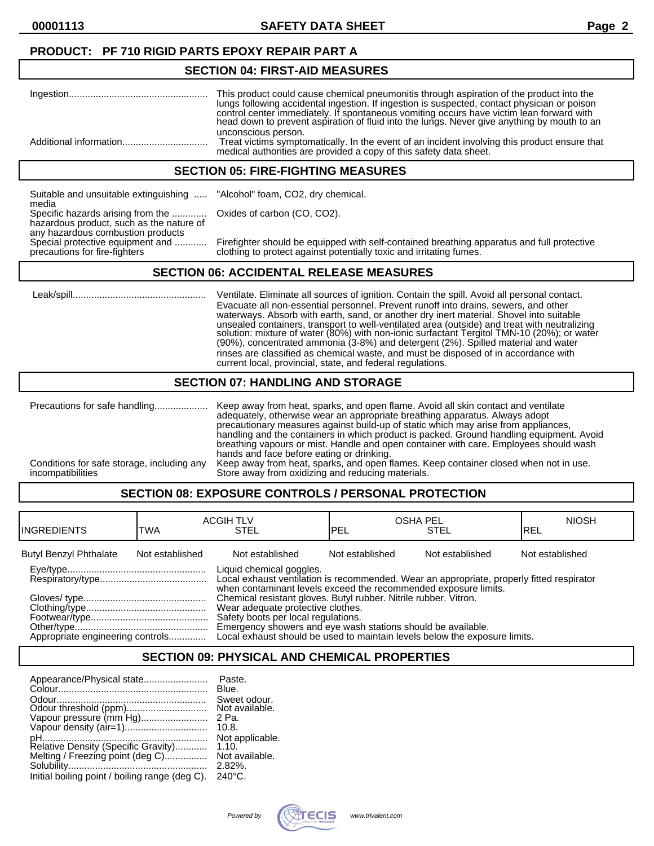## **PRODUCT: PF 710 RIGID PARTS EPOXY REPAIR PART A**

#### **SECTION 04: FIRST-AID MEASURES**

| This product could cause chemical pneumonitis through aspiration of the product into the<br>lungs following accidental ingestion. If ingestion is suspected, contact physician or poison<br>control center immediately. If spontaneous vomiting occurs have victim lean forward with<br>head down to prevent aspiration of fluid into the lungs. Never give anything by mouth to an |
|-------------------------------------------------------------------------------------------------------------------------------------------------------------------------------------------------------------------------------------------------------------------------------------------------------------------------------------------------------------------------------------|
| unconscious person.<br>Treat victims symptomatically. In the event of an incident involving this product ensure that<br>medical authorities are provided a copy of this safety data sheet.                                                                                                                                                                                          |

#### **SECTION 05: FIRE-FIGHTING MEASURES**

Suitable and unsuitable extinguishing ..... "Alcohol" foam, CO2, dry chemical. media Specific hazards arising from the ............. Oxides of carbon (CO, CO2). hazardous product, such as the nature of any hazardous combustion products<br>Special protective equipment and ............

Special protective equipment and ............ Firefighter should be equipped with self-contained breathing apparatus and full protective<br>precautions for fire-fighters clothing to protect against potentially toxic and irrit clothing to protect against potentially toxic and irritating fumes.

#### **SECTION 06: ACCIDENTAL RELEASE MEASURES**

 Leak/spill.................................................. Ventilate. Eliminate all sources of ignition. Contain the spill. Avoid all personal contact. Evacuate all non-essential personnel. Prevent runoff into drains, sewers, and other waterways. Absorb with earth, sand, or another dry inert material. Shovel into suitable unsealed containers, transport to well-ventilated area (outside) and treat with neutralizing solution: mixture of water (80%) with non-ionic surfactànt Tergitol TMN-10 (20%); or water (90%), concentrated ammonia (3-8%) and detergent (2%). Spilled material and water rinses are classified as chemical waste, and must be disposed of in accordance with current local, provincial, state, and federal regulations.

#### **SECTION 07: HANDLING AND STORAGE**

|                                                                 | adequately, otherwise wear an appropriate breathing apparatus. Always adopt<br>precautionary measures against build-up of static which may arise from appliances,<br>handling and the containers in which product is packed. Ground handling equipment. Avoid<br>breathing vapours or mist. Handle and open container with care. Employees should wash |
|-----------------------------------------------------------------|--------------------------------------------------------------------------------------------------------------------------------------------------------------------------------------------------------------------------------------------------------------------------------------------------------------------------------------------------------|
| Conditions for safe storage, including any<br>incompatibilities | hands and face before eating or drinking.<br>Keep away from heat, sparks, and open flames. Keep container closed when not in use.<br>Store away from oxidizing and reducing materials.                                                                                                                                                                 |

## **SECTION 08: EXPOSURE CONTROLS / PERSONAL PROTECTION**

| <b>IINGREDIENTS</b>              | TWA             | <b>ACGIH TLV</b><br><b>STEL</b>                                                                                                                                                                                                                              | lpel            | <b>OSHA PEL</b><br><b>STEL</b> | <b>NIOSH</b><br>IREL |
|----------------------------------|-----------------|--------------------------------------------------------------------------------------------------------------------------------------------------------------------------------------------------------------------------------------------------------------|-----------------|--------------------------------|----------------------|
| <b>Butyl Benzyl Phthalate</b>    | Not established | Not established                                                                                                                                                                                                                                              | Not established | Not established                | Not established      |
|                                  |                 | Liquid chemical goggles.<br>Local exhaust ventilation is recommended. Wear an appropriate, properly fitted respirator<br>when contaminant levels exceed the recommended exposure limits.<br>Chemical resistant gloves. Butyl rubber. Nitrile rubber. Vitron. |                 |                                |                      |
| Appropriate engineering controls |                 | Wear adequate protective clothes.<br>Safety boots per local regulations.<br>Emergency showers and eye wash stations should be available.<br>Local exhaust should be used to maintain levels below the exposure limits.                                       |                 |                                |                      |

## **SECTION 09: PHYSICAL AND CHEMICAL PROPERTIES**

| Appearance/Physical state                                               | Paste.                                                 |
|-------------------------------------------------------------------------|--------------------------------------------------------|
|                                                                         | Blue.                                                  |
|                                                                         | Sweet odour.                                           |
| Odour threshold (ppm)                                                   | Not available.                                         |
| Vapour pressure (mm Hg)                                                 | 2 Pa.                                                  |
|                                                                         | 10.8.                                                  |
| Relative Density (Specific Gravity)<br>Melting / Freezing point (deg C) | Not applicable.<br>1.10.<br>Not available.<br>$2.82\%$ |
| Initial boiling point / boiling range (deg C).                          | $240^{\circ}$ C.                                       |

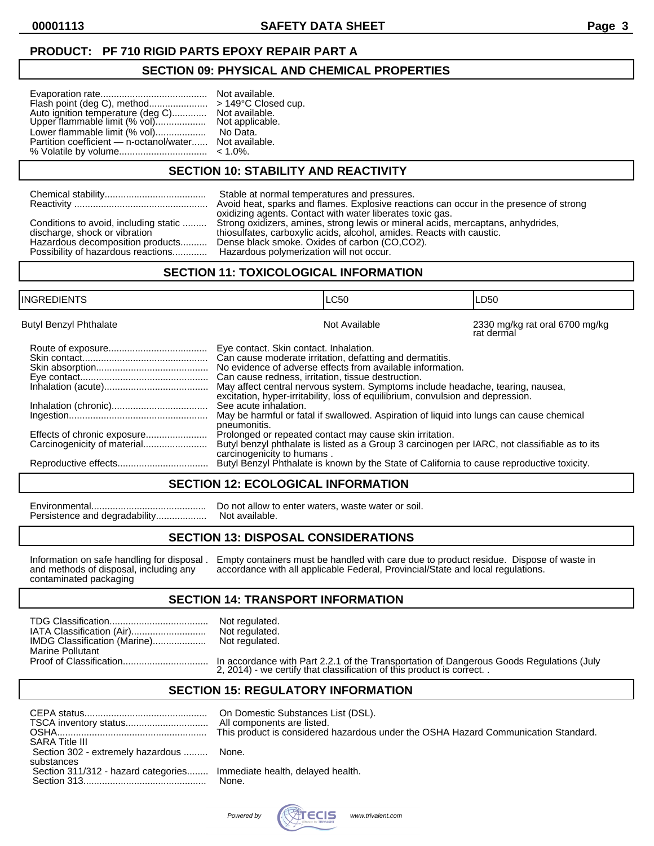## **PRODUCT: PF 710 RIGID PARTS EPOXY REPAIR PART A**

#### **SECTION 09: PHYSICAL AND CHEMICAL PROPERTIES**

|                                                                    | N            |
|--------------------------------------------------------------------|--------------|
| Flash point (deg C), method                                        | $\geq$       |
| Auto ignition temperature (deg C)<br>Upper flammable limit (% vol) | N            |
|                                                                    | N            |
| Lower flammable limit (% vol)                                      | $\mathsf{L}$ |
| Partition coefficient — n-octanol/water N                          |              |
|                                                                    |              |
|                                                                    |              |

lot available. 149°C Closed cup. lot available. Upper final limit (Not applicable. **No Data.** Jot available.  $1.0%$ .

#### **SECTION 10: STABILITY AND REACTIVITY**

|                                                                             | Stable at normal temperatures and pressures.                                           |
|-----------------------------------------------------------------------------|----------------------------------------------------------------------------------------|
|                                                                             | Avoid heat, sparks and flames. Explosive reactions can occur in the presence of strong |
| Conditions to avoid, including static                                       | oxidizing agents. Contact with water liberates toxic gas.                              |
| discharge, shock or vibration                                               | Strong oxidizers, amines, strong lewis or mineral acids, mercaptans, anhydrides,       |
| Hazardous decomposition products                                            | thiosulfates, carboxylic acids, alcohol, amides. Reacts with caustic.                  |
| Possibility of hazardous reactions Hazardous polymerization will not occur. | Dense black smoke. Oxides of carbon (CO,CO2).                                          |

#### **SECTION 11: TOXICOLOGICAL INFORMATION**

| INGREDIENTS                   |                                                                                                                                                                     | <b>LC50</b>                                                                                                                                                                                                                                                                                                                                                                                                                                                                                                                                          | LD50                                         |
|-------------------------------|---------------------------------------------------------------------------------------------------------------------------------------------------------------------|------------------------------------------------------------------------------------------------------------------------------------------------------------------------------------------------------------------------------------------------------------------------------------------------------------------------------------------------------------------------------------------------------------------------------------------------------------------------------------------------------------------------------------------------------|----------------------------------------------|
| <b>Butyl Benzyl Phthalate</b> |                                                                                                                                                                     | Not Available                                                                                                                                                                                                                                                                                                                                                                                                                                                                                                                                        | 2330 mg/kg rat oral 6700 mg/kg<br>rat dermal |
| Effects of chronic exposure   | Eye contact. Skin contact. Inhalation.<br>Can cause redness, irritation, tissue destruction.<br>See acute inhalation.<br>pneumonitis.<br>carcinogenicity to humans. | Can cause moderate irritation, defatting and dermatitis.<br>No evidence of adverse effects from available information.<br>May affect central nervous system. Symptoms include headache, tearing, nausea,<br>excitation, hyper-irritability, loss of equilibrium, convulsion and depression.<br>May be harmful or fatal if swallowed. Aspiration of liquid into lungs can cause chemical<br>Prolonged or repeated contact may cause skin irritation.<br>Butyl benzyl phthalate is listed as a Group 3 carcinogen per IARC, not classifiable as to its |                                              |
|                               |                                                                                                                                                                     | Butyl Benzyl Phthalate is known by the State of California to cause reproductive toxicity.                                                                                                                                                                                                                                                                                                                                                                                                                                                           |                                              |

#### **SECTION 12: ECOLOGICAL INFORMATION**

Persistence and degradability..................

Environmental........................................... Do not allow to enter waters, waste water or soil.

## **SECTION 13: DISPOSAL CONSIDERATIONS**

contaminated packaging

Information on safe handling for disposal . Empty containers must be handled with care due to product residue. Dispose of waste in and methods of disposal, including any accordance with all applicable Federal, Provincial/S accordance with all applicable Federal, Provincial/State and local regulations.

#### **SECTION 14: TRANSPORT INFORMATION**

| IATA Classification (Air)<br>IMDG Classification (Marine) | Not regulated.<br>Not regulated.<br>Not regulated. |
|-----------------------------------------------------------|----------------------------------------------------|
| <b>Marine Pollutant</b>                                   |                                                    |
|                                                           | In accordance                                      |

Proof of Classification................................ In accordance with Part 2.2.1 of the Transportation of Dangerous Goods Regulations (July 2, 2014) - we certify that classification of this product is correct. .

## **SECTION 15: REGULATORY INFORMATION**

| <b>SARA Title III</b>                                                 | On Domestic Substances List (DSL).<br>All components are listed.<br>This product is considered hazardous under the OSHA Hazard Communication Standard. |
|-----------------------------------------------------------------------|--------------------------------------------------------------------------------------------------------------------------------------------------------|
| Section 302 - extremely hazardous<br>substances                       | None.                                                                                                                                                  |
| Section 311/312 - hazard categories Immediate health, delayed health. | None.                                                                                                                                                  |

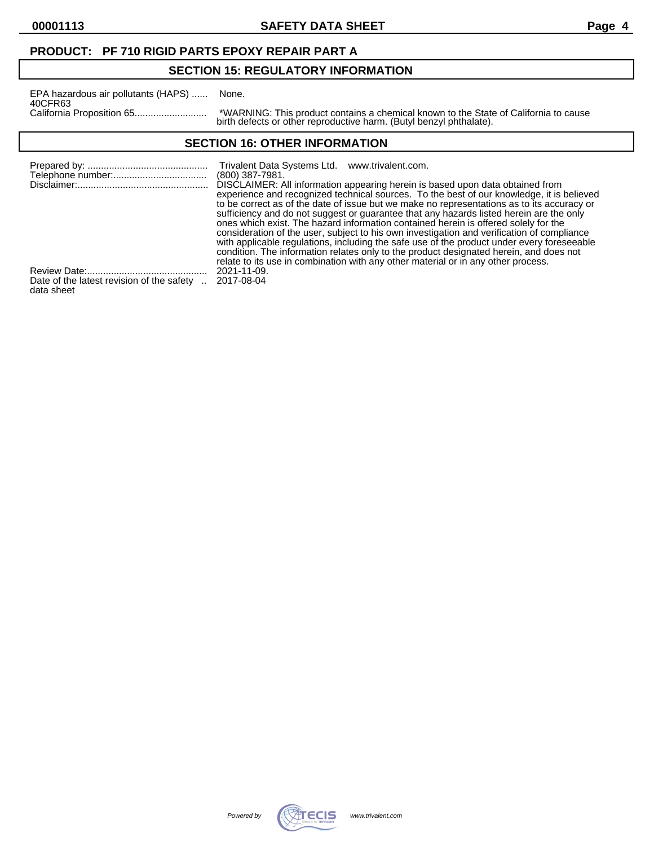data sheet

## **PRODUCT: PF 710 RIGID PARTS EPOXY REPAIR PART A**

## **SECTION 15: REGULATORY INFORMATION**

| EPA hazardous air pollutants (HAPS) | None.             |
|-------------------------------------|-------------------|
| 40CFR63                             |                   |
|                                     | *WARI<br>مام طهنط |

California Proposition 65........................... \*WARNING: This product contains a chemical known to the State of California to cause birth defects or other reproductive harm. (Butyl benzyl phthalate).

## **SECTION 16: OTHER INFORMATION**

|                                                       | Trivalent Data Systems Ltd. www.trivalent.com.<br>(800) 387-7981.<br>DISCLAIMER: All information appearing herein is based upon data obtained from<br>experience and recognized technical sources. To the best of our knowledge, it is believed<br>to be correct as of the date of issue but we make no representations as to its accuracy or<br>sufficiency and do not suggest or guarantee that any hazards listed herein are the only<br>ones which exist. The hazard information contained herein is offered solely for the<br>consideration of the user, subject to his own investigation and verification of compliance<br>with applicable regulations, including the safe use of the product under every foreseeable<br>condition. The information relates only to the product designated herein, and does not<br>relate to its use in combination with any other material or in any other process. |
|-------------------------------------------------------|------------------------------------------------------------------------------------------------------------------------------------------------------------------------------------------------------------------------------------------------------------------------------------------------------------------------------------------------------------------------------------------------------------------------------------------------------------------------------------------------------------------------------------------------------------------------------------------------------------------------------------------------------------------------------------------------------------------------------------------------------------------------------------------------------------------------------------------------------------------------------------------------------------|
| Date of the latest revision of the safety  2017-08-04 | 2021-11-09.                                                                                                                                                                                                                                                                                                                                                                                                                                                                                                                                                                                                                                                                                                                                                                                                                                                                                                |

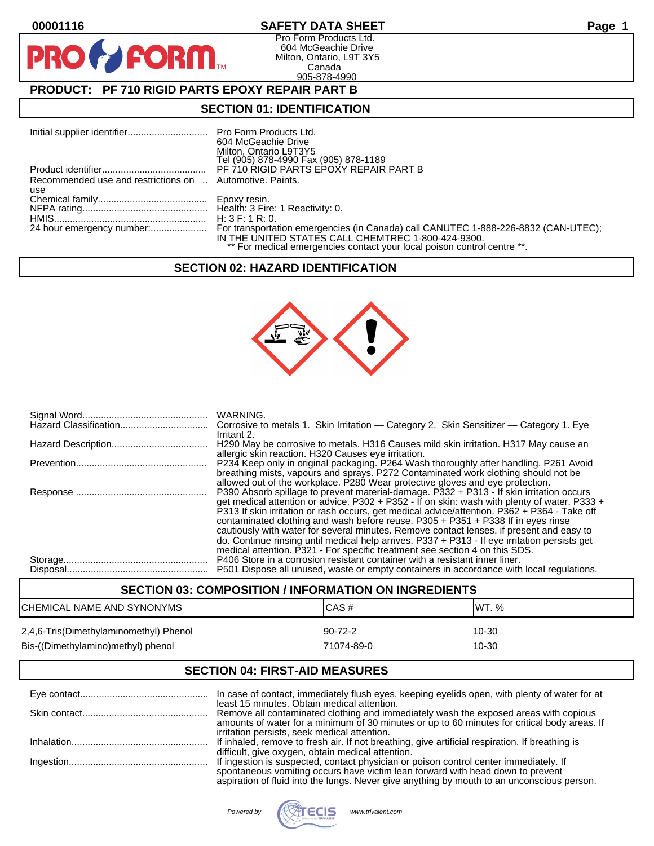**PIR** 

## **00001116 SAFETY DATA SHEET Page 1**

Pro Form Products Ltd. 604 McGeachie Drive Milton, Ontario, L9T 3Y5 Canada 905-878-4990

## **PRODUCT: PF 710 RIGID PARTS EPOXY REPAIR PART B**

**FORM.** 

#### **SECTION 01: IDENTIFICATION**

|                                                          | 604 McGeachie Drive<br>Milton, Ontario L9T3Y5<br>Tel (905) 878-4990 Fax (905) 878-1189                                        |
|----------------------------------------------------------|-------------------------------------------------------------------------------------------------------------------------------|
|                                                          |                                                                                                                               |
| Recommended use and restrictions on  Automotive. Paints. |                                                                                                                               |
| use                                                      |                                                                                                                               |
|                                                          |                                                                                                                               |
|                                                          |                                                                                                                               |
|                                                          |                                                                                                                               |
|                                                          | IN THE UNITED STATES CALL CHEMTREC 1-800-424-9300.<br>** For medical emergencies contact your local poison control centre **. |

#### **SECTION 02: HAZARD IDENTIFICATION**



| Irritant 2.                                                                                                                                                                                                                                                                                                                                                                                                                                                                                                                                                                                                                                              |
|----------------------------------------------------------------------------------------------------------------------------------------------------------------------------------------------------------------------------------------------------------------------------------------------------------------------------------------------------------------------------------------------------------------------------------------------------------------------------------------------------------------------------------------------------------------------------------------------------------------------------------------------------------|
| H290 May be corrosive to metals. H316 Causes mild skin irritation. H317 May cause an<br>allergic skin reaction. H320 Causes eye irritation.                                                                                                                                                                                                                                                                                                                                                                                                                                                                                                              |
| P234 Keep only in original packaging. P264 Wash thoroughly after handling. P261 Avoid<br>breathing mists, vapours and sprays. P272 Contaminated work clothing should not be<br>allowed out of the workplace. P280 Wear protective gloves and eve protection.                                                                                                                                                                                                                                                                                                                                                                                             |
| P390 Absorb spillage to prevent material-damage. P332 + P313 - If skin irritation occurs<br>get medical attention or advice. P302 + P352 - If on skin: wash with plenty of water. P333 +<br>P313 If skin irritation or rash occurs, get medical advice/attention. P362 + P364 - Take off<br>contaminated clothing and wash before reuse. P305 + P351 + P338 If in eyes rinse<br>cautiously with water for several minutes. Remove contact lenses, if present and easy to<br>do. Continue rinsing until medical help arrives. P337 + P313 - If eye irritation persists get<br>medical attention. P321 - For specific treatment see section 4 on this SDS. |
| P406 Store in a corrosion resistant container with a resistant inner liner.<br>P501 Dispose all unused, waste or empty containers in accordance with local regulations.                                                                                                                                                                                                                                                                                                                                                                                                                                                                                  |

## **SECTION 03: COMPOSITION / INFORMATION ON INGREDIENTS** CHEMICAL NAME AND SYNONYMS CAS # CAS # WT. % 2,4,6-Tris(Dimethylaminomethyl) Phenol 90-72-2 10-30 Bis-((Dimethylamino)methyl) phenol 71074-89-0 71074-89-0

## **SECTION 04: FIRST-AID MEASURES**

| In case of contact, immediately flush eyes, keeping eyelids open, with plenty of water for at                                                                                                                                                                         |
|-----------------------------------------------------------------------------------------------------------------------------------------------------------------------------------------------------------------------------------------------------------------------|
| least 15 minutes. Obtain medical attention.<br>Remove all contaminated clothing and immediately wash the exposed areas with copious<br>amounts of water for a minimum of 30 minutes or up to 60 minutes for critical body areas. If                                   |
| irritation persists, seek medical attention.                                                                                                                                                                                                                          |
| If inhaled, remove to fresh air. If not breathing, give artificial respiration. If breathing is<br>difficult, give oxygen, obtain medical attention.                                                                                                                  |
| If ingestion is suspected, contact physician or poison control center immediately. If<br>spontaneous vomiting occurs have victim lean forward with head down to prevent<br>aspiration of fluid into the lungs. Never give anything by mouth to an unconscious person. |

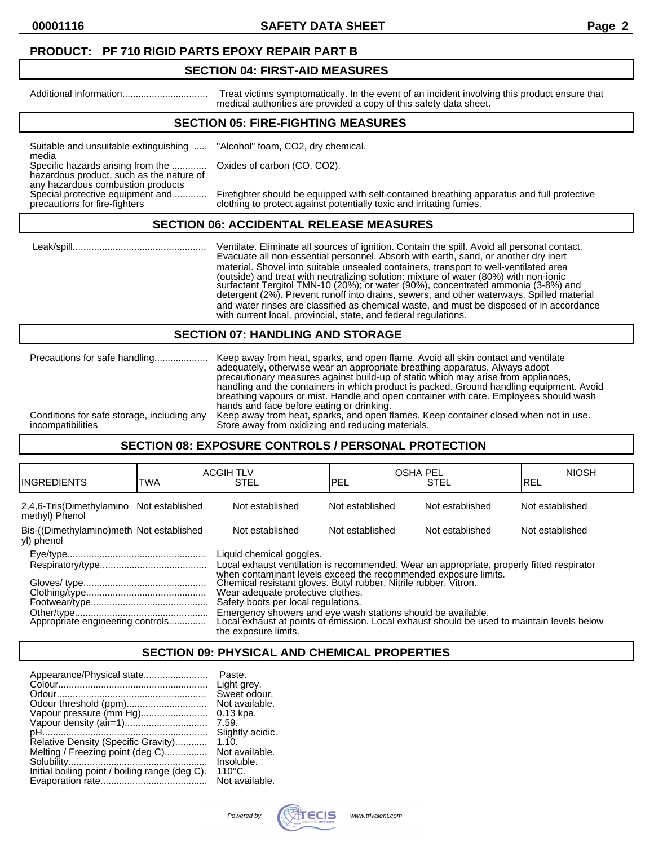#### **PRODUCT: PF 710 RIGID PARTS EPOXY REPAIR PART B**

#### **SECTION 04: FIRST-AID MEASURES**

Additional information................................ Treat victims symptomatically. In the event of an incident involving this product ensure that medical authorities are provided a copy of this safety data sheet.

## **SECTION 05: FIRE-FIGHTING MEASURES**

Suitable and unsuitable extinguishing ..... "Alcohol" foam, CO2, dry chemical. media

Specific hazards arising from the ............. Oxides of carbon (CO, CO2).

hazardous product, such as the nature of any hazardous combustion products<br>Special protective equipment and ............

Special protective equipment and ............ Firefighter should be equipped with self-contained breathing apparatus and full protective<br>precautions for fire-fighters clothing to protect against potentially toxic and irrit clothing to protect against potentially toxic and irritating fumes.

#### **SECTION 06: ACCIDENTAL RELEASE MEASURES**

 Leak/spill.................................................. Ventilate. Eliminate all sources of ignition. Contain the spill. Avoid all personal contact. Evacuate all non-essential personnel. Absorb with earth, sand, or another dry inert material. Shovel into suitable unsealed containers, transport to well-ventilated area (outside) and treat with neutralizing solution: mixture of water (80%) with non-ionic surfactant Tergitol TMN-10 (20%); or water (90%), concentrated ammonia (3-8%) and detergent (2%). Prevent runoff into drains, sewers, and other waterways. Spilled material and water rinses are classified as chemical waste, and must be disposed of in accordance with current local, provincial, state, and federal regulations.

#### **SECTION 07: HANDLING AND STORAGE**

|                                                                 | Keep away from heat, sparks, and open flame. Avoid all skin contact and ventilate<br>adequately, otherwise wear an appropriate breathing apparatus. Always adopt<br>precautionary measures against build-up of static which may arise from appliances.<br>handling and the containers in which product is packed. Ground handling equipment. Avoid<br>breathing vapours or mist. Handle and open container with care. Employees should wash<br>hands and face before eating or drinking. |
|-----------------------------------------------------------------|------------------------------------------------------------------------------------------------------------------------------------------------------------------------------------------------------------------------------------------------------------------------------------------------------------------------------------------------------------------------------------------------------------------------------------------------------------------------------------------|
| Conditions for safe storage, including any<br>incompatibilities | Keep away from heat, sparks, and open flames. Keep container closed when not in use.<br>Store away from oxidizing and reducing materials.                                                                                                                                                                                                                                                                                                                                                |
|                                                                 |                                                                                                                                                                                                                                                                                                                                                                                                                                                                                          |

## **SECTION 08: EXPOSURE CONTROLS / PERSONAL PROTECTION**

| IINGREDIENTS                                               | TWA | <b>ACGIH TLV</b><br><b>STEL</b>                                                                                                                                                                                                                                                                                                          | <b>OSHA PEL</b><br>IPEL | <b>STEL</b>     | <b>NIOSH</b><br>IREL |
|------------------------------------------------------------|-----|------------------------------------------------------------------------------------------------------------------------------------------------------------------------------------------------------------------------------------------------------------------------------------------------------------------------------------------|-------------------------|-----------------|----------------------|
| 2,4,6-Tris(Dimethylamino Not established<br>methyl) Phenol |     | Not established                                                                                                                                                                                                                                                                                                                          | Not established         | Not established | Not established      |
| Bis-((Dimethylamino)meth Not established<br>yl) phenol     |     | Not established                                                                                                                                                                                                                                                                                                                          | Not established         | Not established | Not established      |
|                                                            |     | Liquid chemical goggles.<br>Local exhaust ventilation is recommended. Wear an appropriate, properly fitted respirator<br>when contaminant levels exceed the recommended exposure limits.<br>Chemical resistant gloves. Butyl rubber. Nitrile rubber. Vitron.<br>Wear adequate protective clothes.<br>Safety boots per local regulations. |                         |                 |                      |
|                                                            |     | Emergency showers and eye wash stations should be available.<br>Local exhaust at points of emission. Local exhaust should be used to maintain levels below<br>the exposure limits.                                                                                                                                                       |                         |                 |                      |

## **SECTION 09: PHYSICAL AND CHEMICAL PROPERTIES**

| Appearance/Physical state                      | Paste.<br>Light grey. |
|------------------------------------------------|-----------------------|
|                                                | Sweet odour.          |
|                                                | Not available.        |
| Vapour pressure (mm Hg)                        | $0.13$ kpa.           |
| Vapour density (air=1)                         | 7.59.                 |
|                                                | Slightly acidic.      |
| Relative Density (Specific Gravity)            | 1.10.                 |
| Melting / Freezing point (deg C)               | Not available.        |
|                                                | Insoluble.            |
| Initial boiling point / boiling range (deg C). | $110^{\circ}$ C.      |
|                                                | Not available.        |

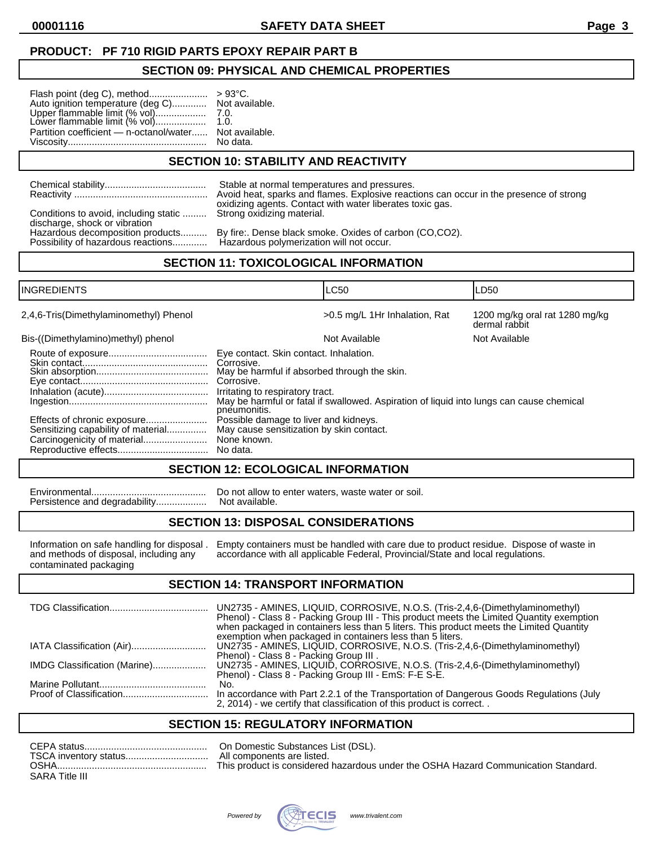## **PRODUCT: PF 710 RIGID PARTS EPOXY REPAIR PART B**

#### **SECTION 09: PHYSICAL AND CHEMICAL PROPERTIES**

| Auto ignition temperature (deg C) Not available.<br>Upper flammable limit (% vol)     7.0.<br>Lower flammable limit (% vol)    1.0. |  |
|-------------------------------------------------------------------------------------------------------------------------------------|--|
| Partition coefficient — n-octanol/water Not available.                                                                              |  |

## **SECTION 10: STABILITY AND REACTIVITY**

|                                                                                                    | Stable at normal temperatures and pressures.                                           |
|----------------------------------------------------------------------------------------------------|----------------------------------------------------------------------------------------|
|                                                                                                    | Avoid heat, sparks and flames. Explosive reactions can occur in the presence of strong |
| Conditions to avoid, including static  Strong oxidizing material.<br>discharge, shock or vibration | oxidizing agents. Contact with water liberates toxic gas.                              |
| Hazardous decomposition products                                                                   | By fire:. Dense black smoke. Oxides of carbon (CO,CO2).                                |
| Possibility of hazardous reactions                                                                 | Hazardous polymerization will not occur.                                               |

## **SECTION 11: TOXICOLOGICAL INFORMATION**

| <b>INGREDIENTS</b>                                                | <b>LC50</b>                                                                                                                                                            |                                                                                          | LD50                                            |
|-------------------------------------------------------------------|------------------------------------------------------------------------------------------------------------------------------------------------------------------------|------------------------------------------------------------------------------------------|-------------------------------------------------|
| 2,4,6-Tris(Dimethylaminomethyl) Phenol                            |                                                                                                                                                                        | >0.5 mg/L 1Hr Inhalation, Rat                                                            | 1200 mg/kg oral rat 1280 mg/kg<br>dermal rabbit |
| Bis-((Dimethylamino)methyl) phenol                                |                                                                                                                                                                        | Not Available                                                                            | Not Available                                   |
|                                                                   | Eye contact. Skin contact. Inhalation.<br>Corrosive.<br>May be harmful if absorbed through the skin.<br>Corrosive.<br>Irritating to respiratory tract.<br>pneumonitis. | May be harmful or fatal if swallowed. Aspiration of liquid into lungs can cause chemical |                                                 |
| Effects of chronic exposure<br>Sensitizing capability of material | Possible damage to liver and kidneys.<br>May cause sensitization by skin contact.<br>None known.<br>No data.                                                           |                                                                                          |                                                 |

## **SECTION 12: ECOLOGICAL INFORMATION**

Persistence and degradability...................

Environmental........................................... Do not allow to enter waters, waste water or soil.

## **SECTION 13: DISPOSAL CONSIDERATIONS**

contaminated packaging

Information on safe handling for disposal . Empty containers must be handled with care due to product residue. Dispose of waste in and methods of disposal, including any accordance with all applicable Federal, Provincial/S and methods of disposal, including and methods of disposal, including accordance with all applicable Federal, Provincial/State and local regulations.

## **SECTION 14: TRANSPORT INFORMATION**

|                              | UN2735 - AMINES, LIQUID, CORROSIVE, N.O.S. (Tris-2,4,6-(Dimethylaminomethyl)<br>Phenol) - Class 8 - Packing Group III - This product meets the Limited Quantity exemption<br>when packaged in containers less than 5 liters. This product meets the Limited Quantity<br>exemption when packaged in containers less than 5 liters. |
|------------------------------|-----------------------------------------------------------------------------------------------------------------------------------------------------------------------------------------------------------------------------------------------------------------------------------------------------------------------------------|
|                              | UN2735 - AMINES, LIQUID, CORROSIVE, N.O.S. (Tris-2,4,6-(Dimethylaminomethyl)<br>Phenol) - Class 8 - Packing Group III.                                                                                                                                                                                                            |
| IMDG Classification (Marine) | UN2735 - AMINES, LIQUID, CORROSIVE, N.O.S. (Tris-2,4,6-(Dimethylaminomethyl)                                                                                                                                                                                                                                                      |
|                              | No.<br>In accordance with Part 2.2.1 of the Transportation of Dangerous Goods Regulations (July                                                                                                                                                                                                                                   |
|                              | Phenol) - Class 8 - Packing Group III - EmS: F-E S-E.<br>2, 2014) - we certify that classification of this product is correct                                                                                                                                                                                                     |

## **SECTION 15: REGULATORY INFORMATION**

| CEPA status           | On Domestic Substances List (DSL).                                                 |
|-----------------------|------------------------------------------------------------------------------------|
| TSCA inventory status | All components are listed.                                                         |
| <b>OSHA</b>           | This product is considered hazardous under the OSHA Hazard Communication Standard. |
| SARA Title III        |                                                                                    |